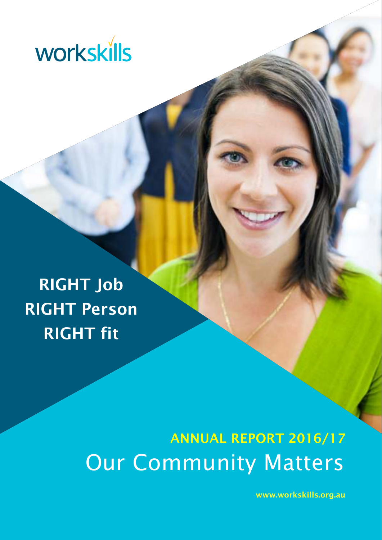

RIGHT Job RIGHT Person RIGHT fit

# ANNUAL REPORT 2016/17 Our Community Matters

www.workskills.org.au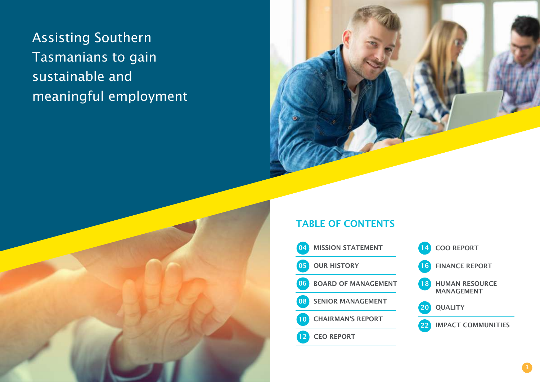## TABLE OF CONTENTS





 Assisting Southern Tasmanians to gain sustainable and meaningful employment

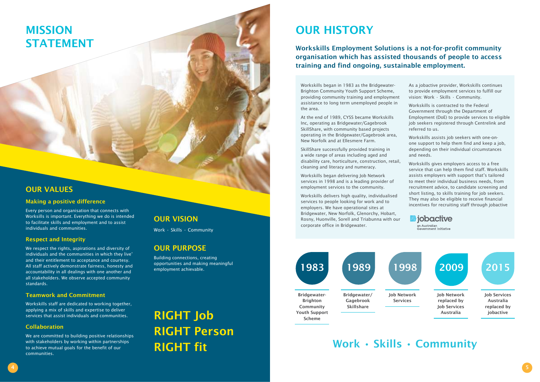# MISSION STATEMENT

### OUR VALUES

### Making a positive difference

Every person and organisation that connects with Worksills is important. Everything we do is intended to facilitate skills and employment and to assist individuals and communities.

### Respect and Integrity

We respect the rights, aspirations and diversity of individuals and the communities in which they live' and their entitlement to acceptance and courtesy. All staff actively demonstrate fairness, honesty and accountability in all dealings with one another and all stakeholders. We observe accepted community standards.

### Teamwork and Commitment

Workskills staff are dedicated to working together, applying a mix of skills and expertise to deliver services that assist individuals and communities.

### Collaboration

We are committed to building positive relationships with stakeholders by working within partnerships to achieve mutual goals for the benefit of our communities.

### **OUR VISION**

Work • Skills • Community

### OUR PURPOSE

Building connections, creating opportunities and making meaningful employment achievable.

Workskills began in 1983 as the Bridgewater-Brighton Community Youth Support Scheme, providing community training and employment assistance to long term unemployed people in the area.

At the end of 1989, CYSS became Workskills Inc, operating as Bridgewater/Gagebrook SkillShare, with community based projects operating in the Bridgewater/Gagebrook area, New Norfolk and at Ellesmere Farm.

SkillShare successfully provided training in a wide range of areas including aged and disability care, horticulture, construction, retail, cleaning and literacy and numeracy.

Workskills began delivering Job Network services in 1998 and is a leading provider of employment services to the community.

Workskills delivers high quality, individualised services to people looking for work and to employers. We have operational sites at Bridgewater, New Norfolk, Glenorchy, Hobart, Rosny, Huonville, Sorell and Triabunna with our corporate office in Bridgewater.

- As a jobactive provider, Workskills continues to provide employment services to fulfill our vision: Work • Skills • Community.
- Workskills is contracted to the Federal Government through the Department of Employment (DoE) to provide services to eligible job seekers registered through Centrelink and referred to us.
- Workskills assists job seekers with one-onone support to help them find and keep a job, depending on their individual circumstances and needs.
- Workskills gives employers access to a free service that can help them find staff. Workskills assists employers with support that's tailored to meet their individual business needs, from recruitment advice, to candidate screening and short listing, to skills training for job seekers. They may also be eligible to receive financial incentives for recruiting staff through jobactive

**III** jobactive .<br>an Australian

Workskills Employment Solutions is a not-for-profit community organisation which has assisted thousands of people to access training and find ongoing, sustainable employment.



Work • Skills • Community

RIGHT Job RIGHT Person RIGHT fit

# **OUR HISTORY**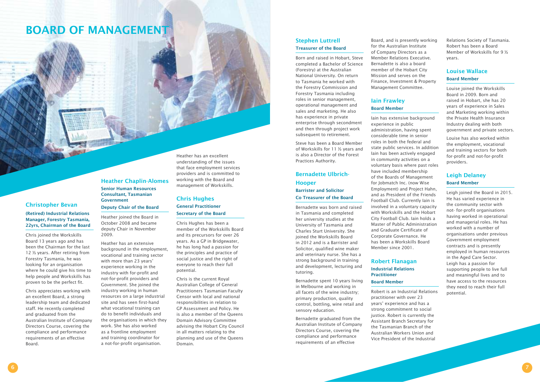### Christopher Bevan

### (Retired) Industrial Relations Manager, Forestry Tasmania, 22yrs, Chairman of the Board

Chris joined the Workskills Board 13 years ago and has been the Chairman for the last 12 ½ years. After retiring from Forestry Tasmania, he was looking for an organisation where he could give his time to help people and Workskills has proven to be the perfect fit.

**Government** Deputy Chair of the Board

Chris appreciates working with an excellent Board, a strong leadership team and dedicated staff. He recently completed and graduated from the Australian Institute of Company Directors Course, covering the compliance and performance requirements of an effective Board.

Heather Chaplin-Alomes Senior Human Resources Consultant, Tasmanian

Heather joined the Board in October 2008 and became deputy Chair in November 2009.

Heather has an extensive background in the employment, vocational and training sector with more than 23 years' experience working in the industry with for-profit and not-for-profit providers and Government. She joined the industry working in human resources on a large industrial site and has seen first-hand what vocational training can do to benefit individuals and the organisations in which they work. She has also worked as a frontline employment and training coordinator for a not-for-profit organisation.

Heather has an excellent understanding of the issues that face employment services providers and is committed to working with the Board and management of Workskills.

### Chris Hughes General Practitioner Secretary of the Board

Chris Hughes has been a member of the Workskills Board and its precursors for over 26 years. As a GP in Bridgewater, he has long had a passion for the principles and practice of social justice and the right of everyone to reach their full potential.

Chris is the current Royal Australian College of General Practitioners Tasmanian Faculty Censor with local and national responsibilities in relation to GP Assessment and Policy. He is also a member of the Queens Domain Advisory Committee advising the Hobart City Council in all matters relating to the planning and use of the Queens Domain.

### Stephen Luttrell Treasurer of the Board

Born and raised in Hobart, Steve completed a Bachelor of Science (Forestry) at the Australian National University. On return to Tasmania he worked with the Forestry Commission and Forestry Tasmania including roles in senior management, operational management and sales and marketing. He also has experience in private enterprise through secondment and then through project work

subsequent to retirement.

Steve has been a Board Member of Workskills for 11 ½ years and is also a Director of the Forest Practices Authority.

### Bernadette Ulbrich-Hooper Barrister and Solicitor

### Co Treasurer of the Board

Bernadette was born and raised in Tasmania and completed her university studies at the University of Tasmania and Charles Sturt University. She joined the Workskills Board in 2012 and is a Barrister and Solicitor, qualified wine maker and veterinary nurse. She has a strong background in training and development, lecturing and tutoring.

Bernadette spent 10 years living in Melbourne and working in all facets of the wine industry; primary production, quality control, bottling, wine retail and sensory education.

Bernadette graduated from the Australian Institute of Company Directors Course, covering the compliance and performance requirements of an effective

Board, and is presently working for the Australian Institute of Company Directors as a Member Relations Executive. Bernadette is also a board member of the Hobart City Mission and serves on the Finance, Investment & Property Management Committee.

### Iain Frawley Board Member

Iain has extensive background experience in public administration, having spent considerable time in senior roles in both the federal and state public services. In addition Iain has been actively engaged in community activities on a voluntary basis where past roles have included membership of the Boards of Management for Jobmatch Inc. (now Wise Employment) and Project Hahn, and as President of the Friends Football Club. Currently Iain is involved in a voluntary capacity with Workskills and the Hobart City Football Club. Iain holds a Master of Public Administration and Graduate Certificate of Corporate Governance. He has been a Workskills Board Member since 2001.

### Robert Flanagan Industrial Relations Practitioner Board Member

Robert is an Industrial Relations practitioner with over 23 years' experience and has a strong commitment to social justice. Robert is currently the Assistant Branch Secretary for the Tasmanian Branch of the Australian Workers Union and Vice President of the Industrial

Relations Society of Tasmania. Robert has been a Board Member of Workskills for 9 ½ years.

### Louise Wallace Board Member

Louise joined the Workskills Board in 2009. Born and raised in Hobart, she has 20 years of experience in Sales and Marketing working within the Private Health Insurance Industry dealing with both government and private sectors.

Louise has also worked within the employment, vocational and training sectors for both for-profit and not-for-profit providers.

### Leigh Delaney Board Member

Leigh joined the Board in 2015. He has varied experience in the community sector with not- for-profit organisations having worked in operational and managerial roles. He has worked with a number of organisations under previous Government employment contracts and is presently employed in human resources in the Aged Care Sector. Leigh has a passion for supporting people to live full and meaningful lives and to have access to the resources they need to reach their full potential.

### BOARD OF MANAGEMENT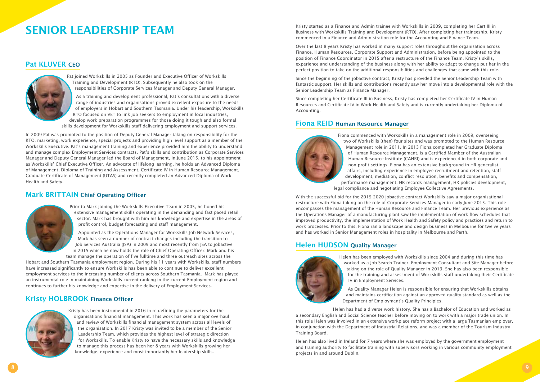Kristy started as a Finance and Admin trainee with Workskills in 2009, completing her Cert III in Business with Workskills Training and Development (RTO). After completing her traineeship, Kristy commenced in a Finance and Administration role for the Accounting and Finance Team.

Over the last 8 years Kristy has worked in many support roles throughout the organisation across Finance, Human Resources, Corporate Support and Administration, before being appointed to the position of Finance Coordinator in 2015 after a restructure of the Finance Team. Kristy's skills, experience and understanding of the business along with her ability to adapt to change put her in the perfect position to take on the additional responsibilities and challenges that came with this role.

Since the beginning of the jobactive contract, Kristy has provided the Senior Leadership Team with fantastic support. Her skills and contributions recently saw her move into a developmental role with the Senior Leadership Team as Finance Manager.

Since completing her Certificate III in Business, Kristy has completed her Certificate IV in Human Resources and Certificate IV in Work Health and Safety and is currently undertaking her Diploma of Accounting.

### Fiona REID Human Resource Manager



Fiona commenced with Workskills in a management role in 2009, overseeing two of Workskills (then) four sites and was promoted to the Human Resource Management role in 2011. In 2013 Fiona completed her Graduate Diploma of Human Resource Management, is a Certified Member of the Australian Human Resource Institute (CAHRI) and is experienced in both corporate and non-profit settings. Fiona has an extensive background in HR generalist affairs, including experience in employee recruitment and retention, staff development, mediation, conflict resolution, benefits and compensation, performance management, HR records management, HR policies development, legal compliance and negotiating Employee Collective Agreements.

With the successful bid for the 2015-2020 jobactive contract Workskills saw a major organisational restructure with Fiona taking on the role of Corporate Services Manager in early June 2015. This role encompasses the management of the Human Resource and Finance Team. Her previous experience as the Operations Manager of a manufacturing plant saw the implementation of work flow schedules that improved productivity, the implementation of Work Health and Safety policy and practices and return to work processes. Prior to this, Fiona ran a landscape and design business in Melbourne for twelve years and has worked in Senior Management roles in hospitality in Melbourne and Perth.

### Helen HUDSON Quality Manager



Helen has been employed with Workskills since 2004 and during this time has worked as a Job Search Trainer, Employment Consultant and Site Manager before taking on the role of Quality Manager in 2013. She has also been responsible for the training and assessment of Workskills staff undertaking their Certificate IV in Employment Services.

As Quality Manager Helen is responsible for ensuring that Workskills obtains and maintains certification against an approved quality standard as well as the Department of Employment's Quality Principles.

Helen has had a diverse work history. She has a Bachelor of Education and worked as

a secondary English and Social Science teacher before moving on to work with a major trade union. In this role Helen was involved in an extensive workplace reform project with a large Tasmanian employer, in conjunction with the Department of Industrial Relations, and was a member of the Tourism Industry Training Board.

Helen has also lived in Ireland for 7 years where she was employed by the government employment and training authority to facilitate training with supervisors working in various community employment projects in and around Dublin.

### Pat KLUVER CEO



Pat joined Workskills in 2005 as Founder and Executive Officer of Workskills Training and Development (RTO). Subsequently he also took on the responsibilities of Corporate Services Manager and Deputy General Manager.

As a training and development professional, Pat's consultations with a diverse range of industries and organisations proved excellent exposure to the needs of employers in Hobart and Southern Tasmania. Under his leadership, Workskills RTO focused on VET to link job seekers to employment in local industries, develop work preparation programmes for those doing it tough and also formal skills development for Workskills staff delivering employment and support services.

In 2009 Pat was promoted to the position of Deputy General Manager taking on responsibility for the RTO, marketing, work experience, special projects and providing high level support as a member of the Workskills Executive. Pat's management training and experience provided him the ability to understand and manage complex Employment Services contracts. Pat's skills and contribution as Corporate Services Manager and Deputy General Manager led the Board of Management, in June 2015, to his appointment as Workskills' Chief Executive Officer. An advocate of lifelong learning, he holds an Advanced Diploma of Management, Diploma of Training and Assessment, Certificate IV in Human Resource Management, Graduate Certificate of Management (UTAS) and recently completed an Advanced Diploma of Work Health and Safety.

### Mark BRITTAIN Chief Operating Officer



Prior to Mark joining the Workskills Executive Team in 2005, he honed his extensive management skills operating in the demanding and fast paced retail sector. Mark has brought with him his knowledge and expertise in the areas of profit control, budget forecasting and staff management.

Appointed as the Operations Manager for Workskills Job Network Services, Mark has seen a number of contract changes including the transition to Job Services Australia (JSA) in 2009 and most recently from JSA to jobactive in 2015 which he now holds the role of Chief Operating Officer. Mark and his team manage the operation of five fulltime and three outreach sites across the

Hobart and Southern Tasmania employment region. During his 11 years with Workskills, staff numbers have increased significantly to ensure Workskills has been able to continue to deliver excellent employment services to the increasing number of clients across Southern Tasmania. Mark has played an instrumental role in maintaining Workskills current ranking in the current Employment region and continues to further his knowledge and expertise in the delivery of Employment Services.

### Kristy HOLBROOK Finance Officer



Kristy has been instrumental in 2016 in re-defining the parameters for the organisations financial management. This work has seen a major overhaul and review of Workskills financial management system across all levels of the organisation. In 2017 Kristy was invited to be a member of the Senior Leadership Team, which provides the highest level of strategic direction for Workskills. To enable Kristy to have the necessary skills and knowledge to manage this process has been her 8 years with Workskills growing her knowledge, experience and most importantly her leadership skills.

# SENIOR LEADERSHIP TEAM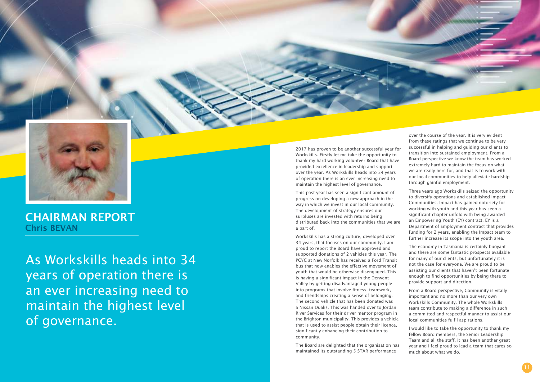As Workskills heads into 34 years of operation there is an ever increasing need to maintain the highest level of governance.



CHAIRMAN REPORT Chris BEVAN

2017 has proven to be another successful year for Workskills. Firstly let me take the opportunity to thank my hard working volunteer Board that have provided excellence in leadership and support over the year. As Workskills heads into 34 years of operation there is an ever increasing need to maintain the highest level of governance.

This past year has seen a significant amount of progress on developing a new approach in the way in which we invest in our local community. The development of strategy ensures our surpluses are invested with returns being distributed back into the communities that we are a part of.

Workskills has a strong culture, developed over 34 years, that focuses on our community. I am proud to report the Board have approved and supported donations of 2 vehicles this year. The PCYC at New Norfolk has received a Ford Transit bus that now enables the effective movement of youth that would be otherwise disengaged. This is having a significant impact in the Derwent Valley by getting disadvantaged young people into programs that involve fitness, teamwork, and friendships creating a sense of belonging. The second vehicle that has been donated was a Nissan Dualis. This was handed over to Jordan River Services for their driver mentor program in the Brighton municipality. This provides a vehicle that is used to assist people obtain their licence, significantly enhancing their contribution to community.

The Board are delighted that the organisation has maintained its outstanding 5 STAR performance



over the course of the year. It is very evident from these ratings that we continue to be very successful in helping and guiding our clients to transition into sustained employment. From a Board perspective we know the team has worked extremely hard to maintain the focus on what we are really here for, and that is to work with our local communities to help alleviate hardship through gainful employment.

Three years ago Workskills seized the opportunity to diversify operations and established Impact Communities. Impact has gained notoriety for working with youth and this year has seen a significant chapter unfold with being awarded an Empowering Youth (EY) contract. EY is a Department of Employment contract that provides funding for 2 years, enabling the Impact team to further increase its scope into the youth area.

The economy in Tasmania is certainly buoyant and there are some fantastic prospects available for many of our clients, but unfortunately it is not the case for everyone. We are proud to be assisting our clients that haven't been fortunate enough to find opportunities by being there to provide support and direction.

From a Board perspective, Community is vitally important and no more than our very own Workskills Community. The whole Workskills team contribute to making a difference in such a committed and respectful manner to assist our local communities fulfil aspirations.

I would like to take the opportunity to thank my fellow Board members, the Senior Leadership Team and all the staff, it has been another great year and I feel proud to lead a team that cares so much about what we do.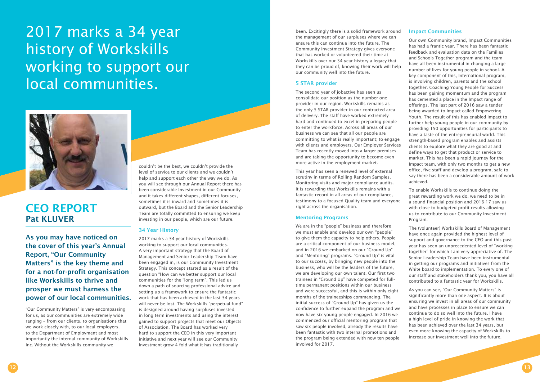### CEO REPORT Pat KLUVER

As you may have noticed on the cover of this year's Annual Report, "Our Community Matters" is the key theme and for a not-for-profit organisation like Workskills to thrive and prosper we must harness the power of our local communities.

"Our Community Matters" is very encompassing for us, as our communities are extremely wide ranging – from our clients, to organisations that we work closely with, to our local employers, to the Department of Employment and most importantly the internal community of Workskills Inc. Without the Workskills community we

couldn't be the best, we couldn't provide the level of service to our clients and we couldn't help and support each other the way we do. As you will see through our Annual Report there has been considerable Investment in our Community and it takes different shapes, different focuses, sometimes it is inward and sometimes it is outward, but the Board and the Senior Leadership Team are totally committed to ensuring we keep investing in our people, which are our future.

### 34 Year History

2017 marks a 34 year history of Workskills working to support our local communities. A very important strategy that the Board of Management and Senior Leadership Team have been engaged in, is our Community Investment Strategy. This concept started as a result of the question "How can we better support our local communities for the "long term". This led us down a path of sourcing professional advice and setting up a framework to ensure the fantastic work that has been achieved in the last 34 years will never be lost. The Workskills "perpetual fund" is designed around having surpluses invested in long term investments and using the interest gained to support projects that meet our Objects of Association. The Board has worked very hard to support the CEO in this very important initiative and next year will see our Community Investment grow 4 fold what it has traditionally

been. Excitingly there is a solid framework around the management of our surpluses where we can ensure this can continue into the future. The Community Investment Strategy gives everyone that has worked or volunteered their time at Workskills over our 34 year history a legacy that they can be proud of, knowing their work will help our community well into the future.

#### 5 STAR provider

The second year of jobactive has seen us consolidate our position as the number one provider in our region. Workskills remains as the only 5 STAR provider in our contracted area of delivery. The staff have worked extremely hard and continued to excel in preparing people to enter the workforce. Across all areas of our business we can see that all our people are committing to what is really important; to engage with clients and employers. Our Employer Services Team has recently moved into a larger premises and are taking the opportunity to become even more active in the employment market.

This year has seen a renewed level of external scrutiny in terms of Rolling Random Samples, Monitoring visits and major compliance audits. It is rewarding that Workskills remains with a fantastic record in all areas of our compliance, testimony to a focused Quality team and everyone right across the organisation.

### Mentoring Programs

We are in the "people" business and therefore we must enable and develop our own "people" to give them the capacity to help others. People are a critical component of our business model, and in 2016 we embarked on our "Ground Up" and "Mentoring" programs. "Ground Up" is vital to our success, by bringing new people into the business, who will be the leaders of the future, we are developing our own talent. Our first two trainees in "Ground Up" have competed for fulltime permanent positions within our business and were successful, and this is within only eight months of the traineeships commencing. The initial success of "Ground Up" has given us the confidence to further expand the program and we now have six young people engaged. In 2016 we commenced our official mentoring program that saw six people involved, already the results have been fantastic with two internal promotions and the program being extended with now ten people involved for 2017.

#### Impact Communities

Our own Community brand, Impact Communities has had a frantic year. There has been fantastic feedback and evaluation data on the Families and Schools Together program and the team have all been instrumental in changing a large number of lives for young people in school. A key component of this, International program, is involving children, parents and the school together. Coaching Young People for Success has been gaining momentum and the program has cemented a place in the Impact range of offerings. The last part of 2016 saw a tender being awarded to Impact called Empowering Youth. The result of this has enabled Impact to further help young people in our community by providing 150 opportunities for participants to have a taste of the entrepreneurial world. This strength-based program enables and assists clients to explore what they are good at and define ways to get that product or service to market. This has been a rapid journey for the Impact team, with only two months to get a new office, five staff and develop a program, safe to say there has been a considerable amount of work achieved.

To enable Workskills to continue doing the great rewarding work we do, we need to be in a sound financial position and 2016-17 saw us with close to budgeted profit results allowing us to contribute to our Community Investment Program.

The (volunteer) Workskills Board of Management have once again provided the highest level of support and governance to the CEO and this past year has seen an unprecedented level of "working together" for which I am very appreciative of. The Senior Leadership Team have been instrumental in getting our programs and initiatives from the White board to implementation. To every one of our staff and stakeholders thank you, you have all contributed to a fantastic year for Workskills.

As you can see, "Our Community Matters" is significantly more than one aspect. It is about ensuring we invest in all areas of our community and have processes in place to ensure we can continue to do so well into the future. I have a high level of pride in knowing the work that has been achieved over the last 34 years, but even more knowing the capacity of Workskills to increase our investment well into the future.

# 2017 marks a 34 year history of Workskills working to support our local communities.

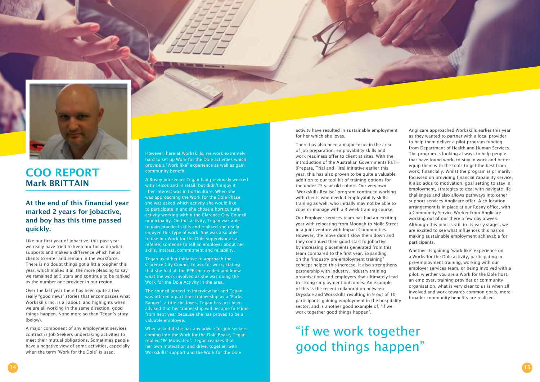### At the end of this financial year marked 2 years for jobactive, and boy has this time passed quickly.

Like our first year of jobactive, this past year we really have tried to keep our focus on what supports and makes a difference which helps clients to enter and remain in the workforce. There is no doubt things got a little tougher this year, which makes it all the more pleasing to say we remained at 5 stars and continue to be ranked as the number one provider in our region.

Over the last year there has been quite a few really "good news" stories that encompasses what Workskills Inc. is all about, and highlights when we are all working in the same direction, good things happen. None more so than Tegan's story (below).

A major component of any employment services contract is Job Seekers undertaking activities to meet their mutual obligations. Sometimes people have a negative view of some activities, especially when the term "Work for the Dole" is used.

activity have resulted in sustainable employment for her which she loves.

There has also been a major focus in the area of job preparation, employability skills and work readiness offer to client at sites. With the introduction of the Australian Governments PaTH (Prepare, Trial and Hire) initiative earlier this year, this has also proven to be quite a valuable addition to our tool kit of training options for the under 25 year old cohort. Our very own "Workskills Realise" program continued working with clients who needed employability skills training as well, who initially may not be able to cope or manage with a 3 week training course.

Our Employer services team has had an exciting year with relocating from Moonah to Molle Street in a joint venture with Impact Communities. However, the move didn't slow them down and they continued their good start to jobactive by increasing placements generated from this team compared to the first year. Expanding on the "industry pre-employment training" concept helped this increase, it also strengthens partnership with Industry, industry training organisations and employers that ultimately lead to strong employment outcomes. An example of this is the recent collaboration between Drysdale and Workskills resulting in 9 out of 10 participants gaining employment in the hospitality sector, and is another good example of, "if we work together good things happen".

Anglicare approached Workskills earlier this year as they wanted to partner with a local provider to help them deliver a pilot program funding from Department of Health and Human Services. The program is looking at ways to help people that have found work, to stay in work and better equip them with the tools to get the best from work, financially. Whilst the program is primarily focussed on providing financial capability service, it also adds to motivation, goal setting to stay in employment, strategies to deal with navigate life challenges and also allows pathways into other support services Anglicare offer. A co-location arrangement is in place at our Rosny office, with a Community Service Worker from Anglicare working out of our there a few day a week. Although this pilot is still in its early stages, we are excited to see what influences this has on making sustainable employment achievable for participants.

Whether its gaining 'work like' experience on a Works for the Dole activity, participating in pre-employment training, working with our employer services team, or being involved with a pilot, whether you are a Work for the Dole host, an employer, training provider or community organisation, what is very clear to us is when all involved and work towards common goals, more broader community benefits are realised.





### COO REPORT Mark BRITTAIN

However, here at Workskills, we work extremely hard to set up Work for the Dole activities which provide a "Work like" experience as well as gain community benefit.

A Rosny job seeker Tegan had previously worked with Telcos and in retail, but didn't enjoy it - her interest was in horticulture. When she was approaching the Work for the Dole Phase she was asked which activity she would like to participate in and she chose a horticultural activity working within the Clarence City Council municipality. On this activity, Tegan was able to gain practical skills and realised she really enjoyed this type of work. She was also able to use her Work for the Dole supervisor as a referee; someone to tell an employer about her skills, interest, commitment and reliability.

Tegan used her initiative to approach the Clarence City Council to ask for work, stating that she had all the PPE she needed and knew what the work involved as she was doing the Work for the Dole Activity in the area.

The council agreed to interview her and Tegan was offered a part-time traineeship as a "Parks Ranger", a title she loves. Tegan has just been advised that her traineeship will become full-time from next year because she has proved to be a valuable employee.

When asked if she has any advice for job seekers coming into the Work for the Dole Phase, Tegan replied "Be Motivated". Tegan realizes that her own motivation and drive, together with Workskills' support and the Work for the Dole

"if we work together good things happen"

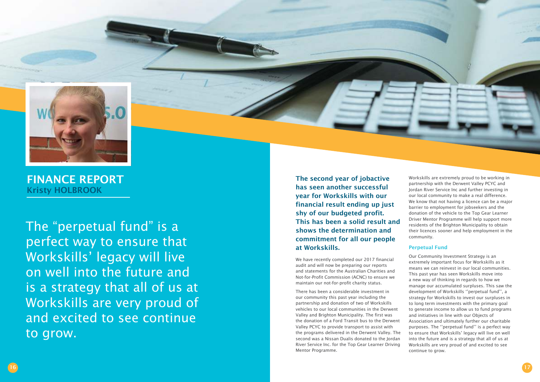The second year of jobactive has seen another successful year for Workskills with our financial result ending up just shy of our budgeted profit. This has been a solid result and shows the determination and commitment for all our people at Workskills.

We have recently completed our 2017 financial audit and will now be preparing our reports and statements for the Australian Charities and Not-for-Profit Commission (ACNC) to ensure we maintain our not-for-profit charity status.

There has been a considerable investment in our community this past year including the partnership and donation of two of Workskills vehicles to our local communities in the Derwent Valley and Brighton Municipality. The first was the donation of a Ford Transit bus to the Derwent Valley PCYC to provide transport to assist with the programs delivered in the Derwent Valley. The second was a Nissan Dualis donated to the Jordan River Service Inc. for the Top Gear Learner Driving Mentor Programme.



The "perpetual fund" is a perfect way to ensure that Workskills' legacy will live on well into the future and is a strategy that all of us at Workskills are very proud of and excited to see continue to grow.



FINANCE REPORT Kristy HOLBROOK

Workskills are extremely proud to be working in partnership with the Derwent Valley PCYC and Jordan River Service Inc and further investing in our local community to make a real difference. We know that not having a licence can be a major barrier to employment for jobseekers and the donation of the vehicle to the Top Gear Learner Driver Mentor Programme will help support more residents of the Brighton Municipality to obtain their licences sooner and help employment in the community.

### Perpetual Fund

Our Community Investment Strategy is an extremely important focus for Workskills as it means we can reinvest in our local communities. This past year has seen Workskills move into a new way of thinking in regards to how we manage our accumulated surpluses. This saw the development of Workskills ''perpetual fund'', a strategy for Workskills to invest our surpluses in to long term investments with the primary goal to generate income to allow us to fund programs and initiatives in line with our Objects of Association and ultimately further our charitable purposes. The ''perpetual fund'' is a perfect way to ensure that Workskills' legacy will live on well into the future and is a strategy that all of us at Workskills are very proud of and excited to see continue to grow.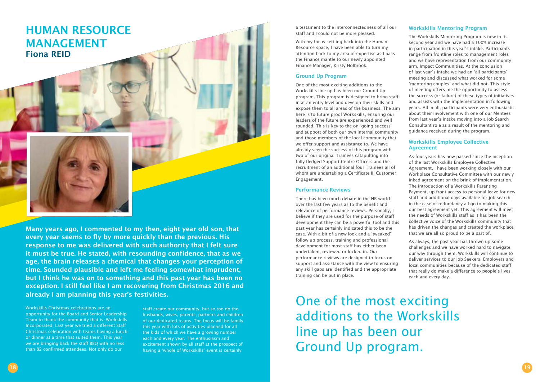### HUMAN RESOURCE MANAGEMENT Fiona REID



Many years ago, I commented to my then, eight year old son, that every year seems to fly by more quickly than the previous. His response to me was delivered with such authority that I felt sure it must be true. He stated, with resounding confidence, that as we age, the brain releases a chemical that changes your perception of time. Sounded plausible and left me feeling somewhat imprudent, but I think he was on to something and this past year has been no exception. I still feel like I am recovering from Christmas 2016 and already I am planning this year's festivities.

Workskills Christmas celebrations are an opportunity for the Board and Senior Leadership Team to thank the community that is, Workskills Incorporated. Last year we tried a different Staff Christmas celebration with teams having a lunch or dinner at a time that suited them. This year we are bringing back the staff BBQ with no less than 82 confirmed attendees. Not only do our

a testament to the interconnectedness of all our staff and I could not be more pleased.

With my focus settling back into the Human Resource space, I have been able to turn my attention back to my area of expertise as I pass the Finance mantle to our newly appointed Finance Manager, Kristy Holbrook.

### Ground Up Program

One of the most exciting additions to the Workskills line up has been our Ground Up program. This program is designed to bring staff in at an entry level and develop their skills and expose them to all areas of the business. The aim here is to future proof Workskills, ensuring our leaders of the future are experienced and well rounded. This is key to the on- going success and support of both our own internal community and those members of the local community that we offer support and assistance to. We have already seen the success of this program with two of our original Trainees catapulting into fully fledged Support Centre Officers and the recruitment of an additional four Trainees all of whom are undertaking a Certificate III Customer Engagement.

#### Performance Reviews

There has been much debate in the HR world over the last few years as to the benefit and relevance of performance reviews. Personally, I believe if they are used for the purpose of staff development they can be a powerful tool and this past year has certainly indicated this to be the case. With a bit of a new look and a 'tweaked' follow up process, training and professional development for most staff has either been undertaken, reviewed or locked in. Our performance reviews are designed to focus on support and assistance with the view to ensuring any skill gaps are identified and the appropriate training can be put in place.

### Workskills Mentoring Program

The Workskills Mentoring Program is now in its second year and we have had a 100% increase in participation in this year's intake. Participants range from frontline roles to management roles and we have representation from our community arm, Impact Communities. At the conclusion of last year's intake we had an 'all participants' meeting and discussed what worked for some 'mentoring couples' and what did not. This style of meeting offers me the opportunity to assess the success (or failure) of these types of initiatives and assists with the implementation in following years. All in all, participants were very enthusiastic about their involvement with one of our Mentees from last year's intake moving into a Job Search Consultant role as a result of the mentoring and guidance received during the program.

### Workskills Employee Collective Agreement

As four years has now passed since the inception of the last Workskills Employee Collective Agreement, I have been working closely with our Workplace Consultative Committee with our newly inked agreement on the brink of implementation. The introduction of a Workskills Parenting Payment, up front access to personal leave for new staff and additional days available for job search in the case of redundancy all go to making this our best agreement yet. This agreement will meet the needs of Workskills staff as it has been the collective voice of the Workskills community that has driven the changes and created the workplace that we are all so proud to be a part of.

As always, the past year has thrown up some challenges and we have worked hard to navigate our way through them. Workskills will continue to deliver services to our Job Seekers, Employers and local communities because of the dedicated staff that really do make a difference to people's lives each and every day.

staff create our community, but so too do the husbands, wives, parents, partners and children of our dedicated teams. The focus will be family this year with lots of activities planned for all the kids of which we have a growing number each and every year. The enthusiasm and excitement shown by all staff at the prospect of having a 'whole of Workskills' event is certainly

One of the most exciting additions to the Workskills line up has been our Ground Up program.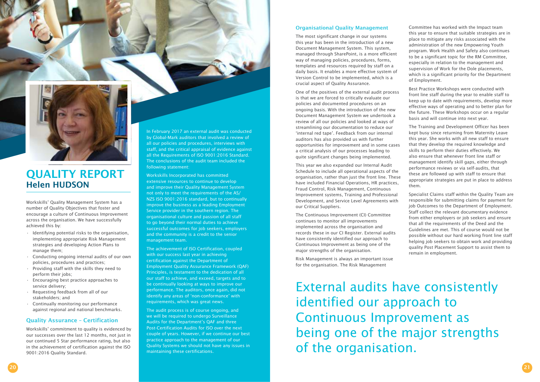Workskills' Quality Management System has a number of Quality Objectives that foster and encourage a culture of Continuous Improvement across the organisation. We have successfully achieved this by:

- Identifying potential risks to the organisation, implementing appropriate Risk Management strategies and developing Action Plans to manage them;
- Conducting ongoing internal audits of our own policies, procedures and practices;
- Providing staff with the skills they need to perform their jobs;
- Encouraging best practice approaches to service delivery;
- Requesting feedback from all of our stakeholders; and
- Continually monitoring our performance against regional and national benchmarks.

### Quality Assurance – Certification

Workskills' commitment to quality is evidenced by our successes over the last 12 months, not just in our continued 5 Star performance rating, but also in the achievement of certification against the ISO 9001:2016 Quality Standard.

### Organisational Quality Management

The most significant change in our systems this year has been in the introduction of a new Document Management System. This system, managed through SharePoint, is a more efficient way of managing policies, procedures, forms, templates and resources required by staff on a daily basis. It enables a more effective system of Version Control to be implemented, which is a crucial aspect of Quality Assurance.

One of the positives of the external audit process is that we are forced to critically evaluate our policies and documented procedures on an ongoing basis. With the introduction of the new Document Management System we undertook a review of all our policies and looked at ways of streamlining our documentation to reduce our 'internal red tape'. Feedback from our internal auditors has also provided us with further opportunities for improvement and in some cases a critical analysis of our processes leading to quite significant changes being implemented.

This year we also expanded our Internal Audit Schedule to include all operational aspects of the organisation, rather than just the front line. These have included Financial Operations, HR practices, Fraud Control, Risk Management, Continuous Improvement systems, Training and Professional Development, and Service Level Agreements with our Critical Suppliers.

The Continuous Improvement (CI) Committee continues to monitor all improvements implemented across the organisation and records these in our CI Register. External audits have consistently identified our approach to Continuous Improvement as being one of the major strengths of the organisation.

Risk Management is always an important issue for the organisation. The Risk Management



### QUALITY REPORT Helen HUDSON

In February 2017 an external audit was conducted by Global-Mark auditors that involved a review of all our policies and procedures, interviews with staff, and the critical appraisal of evidence against all the Requirements of ISO 9001:2016 Standard. The conclusions of the audit team included the following statement:

Workskills Incorporated has committed extensive resources to continue to develop and improve their Quality Management System not only to meet the requirements of the AS/ NZS ISO 9001:2016 standard, but to continually improve the business as a leading Employment Service provider in the southern region. The organisational culture and passion of all staff to go beyond their normal duties to achieve successful outcomes for job seekers, employers and the community is a credit to the senior management team.

The achievement of ISO Certification, coupled with our success last year in achieving certification against the Department of Employment Quality Assurance Framework (QAF) Principles, is testament to the dedication of all our staff to achieve, and exceed, targets and to be continually looking at ways to improve our performance. The auditors, once again, did not identify any areas of 'non-conformance' with requirements, which was great news.

The audit process is of course ongoing, and we will be required to undergo Surveillance Audits for the Department's QAF and three Post-Certification Audits for ISO over the next couple of years. However, if we continue our best practice approach to the management of our Quality Systems we should not have any issues in maintaining these certifications.

Committee has worked with the Impact team this year to ensure that suitable strategies are in place to mitigate any risks associated with the administration of the new Empowering Youth program. Work Health and Safety also continues to be a significant topic for the RM Committee, especially in relation to the management and supervision of Work for the Dole placements, which is a significant priority for the Department of Employment.

Best Practice Workshops were conducted with front line staff during the year to enable staff to keep up to date with requirements, develop more effective ways of operating and to better plan for the future. These Workshops occur on a regular basis and will continue into next year.

The Training and Development Officer has been kept busy since returning from Maternity Leave this year. She works with all new staff to ensure that they develop the required knowledge and skills to perform their duties effectively. We also ensure that whenever front line staff or management identify skill gaps, either through performance reviews or via self-audits, that these are followed up with staff to ensure that appropriate strategies are put in place to address them.

Specialist Claims staff within the Quality Team are responsible for submitting claims for payment for job Outcomes to the Department of Employment. Staff collect the relevant documentary evidence from either employers or job seekers and ensure that all the requirements of the Deed and the Guidelines are met. This of course would not be possible without our hard working front line staff helping job seekers to obtain work and providing quality Post Placement Support to assist them to remain in employment.

External audits have consistently identified our approach to Continuous Improvement as being one of the major strengths of the organisation.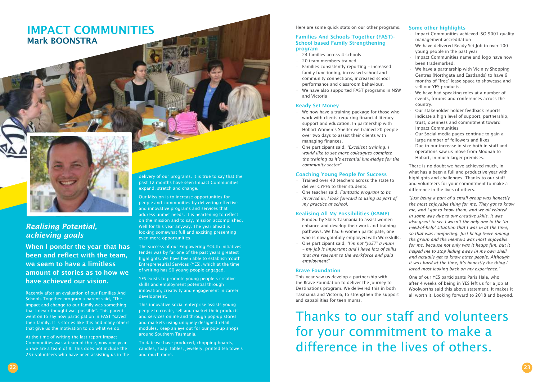### IMPACT COMMUNITIES Mark BOONSTRA



### *Realising Potential, achieving goals*

When I ponder the year that has been and reflect with the team, we seem to have a limitless amount of stories as to how we have achieved our vision.

Recently after an evaluation of our Families And Schools Together program a parent said, "The impact and change to our family was something that I never thought was possible". This parent went on to say how participation in FAST "saved" their family. It is stories like this and many others that give us the motivation to do what we do.

At the time of writing the last report Impact Communities was a team of three, now one year on we are a team of 8. This does not include the 25+ volunteers who have been assisting us in the delivery of our programs. It is true to say that the past 12 months have seen Impact Communities expand, stretch and change.

Our Mission is to increase opportunities for people and communities by delivering effective and innovative programs and services that address unmet needs. It is heartening to reflect on the mission and to say, mission accomplished. Well for this year anyway. The year ahead is looking somewhat full and exciting presenting even more opportunities.

The success of our Empowering YOUth initiatives tender was by far one of the past years greatest highlights. We have been able to establish Youth Entrepreneurial Services (YES), which at the time of writing has 50 young people engaged.

YES exists to promote young people's creative skills and employment potential through innovation, creativity and engagement in career development.

This innovative social enterprise assists young people to create, sell and market their products and services online and through pop-up stores and markets using uniquely designed retail modules. Keep an eye out for our pop-up shops around Southern Tasmania.

To date we have produced, chopping boards, candles, soap, tables, jewelery, printed tea towels and much more.

Thanks to our staff and volunteers for your commitment to make a difference in the lives of others.

### Some other highlights

Here are some quick stats on our other programs.

### Families And Schools Together (FAST)– School based Family Strengthening program

- 24 families across 4 schools
- 20 team members trained
- Families consistently reporting increased family functioning, increased school and community connections, increased school performance and classroom behaviour.
- We have also supported FAST programs in NSW and Victoria

#### Ready Set Money

- We now have a training package for those who work with clients requiring financial literacy support and education. In partnership with Hobart Women's Shelter we trained 20 people over two days to assist their clients with managing finances.
- One participant said, *"Excellent training. I would like to see more colleagues complete the training as it's essential knowledge for the community sector"*

### Coaching Young People for Success

- Trained over 40 teachers across the state to deliver CYPFS to their students.
- One teacher said, *Fantastic program to be involved in, I look forward to using as part of my practice at school.*

### Realising All My Possibilities (RAMP)

- Funded by Skills Tasmania to assist women enhance and develop their work and training pathways. We had 6 women participate, one who is now gainfully employed with Workskills.
- One participant said, *"I'm not "JUST" a mum – my job is important and I have lots of skills that are relevant to the workforce and paid employment"*

#### Brave Foundation

This year saw us develop a partnership with the Brave Foundation to deliver the Journey to Destinations program. We delivered this in both Tasmania and Victoria, to strengthen the support and capabilities for teen mums.

- Impact Communities achieved ISO 9001 quality management accreditation
- We have delivered Ready Set Job to over 100 young people in the past year
- Impact Communities name and logo have now been trademarked.
- We have a partnership with Vicinity Shopping Centres (Northgate and Eastlands) to have 6 months of "free" lease space to showcase and sell our YES products.
- We have had speaking roles at a number of events, forums and conferences across the country.
- Our stakeholder holder feedback reports indicate a high level of support, partnership, trust, openness and commitment toward Impact Communities
- Our Social media pages continue to gain a large number of followers and likes
- Due to our increase in size both in staff and operations saw us move from Moonah to Hobart, in much larger premises.

There is no doubt we have achieved much, in what has a been a full and productive year with highlights and challenges. Thanks to our staff and volunteers for your commitment to make a difference in the lives of others.

*"Just being a part of a small group was honestly the most enjoyable thing for me. They got to know me, and I got to know them, and we all related in some way due to our creative skills. It was also great to see I wasn't the only one in the 'inneed-of-help' situation that I was in at the time, so that was comforting. Just being there among the group and the mentors was most enjoyable for me, because not only was it heaps fun, but it helped me to stop hiding away in my own shell and actually get to know other people. Although it was hard at the time, it's honestly the thing I loved most looking back on my experience."*

One of our YES participants Paris Hale, who after 4 weeks of being in YES left us for a job at Woolworths said this above statement. It makes it all worth it. Looking forward to 2018 and beyond.